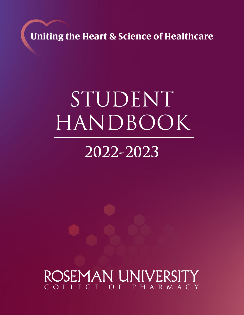**Uniting the Heart & Science of Healthcare**

# STUDENT HANDBOOK

# **2022-2023**

# ROSEMAN UNIVERSI COLLEGE OF PHARMACY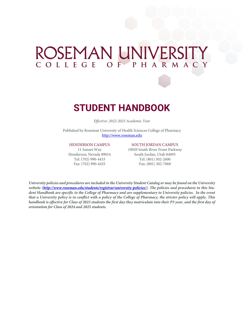# ROSEMAN UNIVERSITY **COLLEGE OF PHARMACY**



# **STUDENT HANDBOOK**

*Effective: 2022-2023 Academic Year*

Published by Roseman University of Health Sciences College of Pharmacy http://www.roseman.edu

#### HENDERSON CAMPUS

11 Sunset Way Henderson, Nevada 89014 Tel: (702) 990-4433 Fax: (702) 990-4435

#### SOUTH JORDAN CAMPUS

10920 South River Front Parkway South Jordan, Utah 84095 Tel: (801) 302-2600 Fax: (801) 302-7068

*University policies and procedures are included in the University Student Catalog or may be found on the University*  website (*http://www.roseman.edu/students/registrar/university-policies/*). The policies and procedures in this Stu*dent Handbook are specific to the College of Pharmacy and are supplementary to University policies. In the event that a University policy is in conflict with a policy of the College of Pharmacy, the stricter policy will apply. This handbook is effective for Class of 2023 students the first day they matriculate into their P3 year, and the first day of orientation for Class of 2024 and 2025 students.*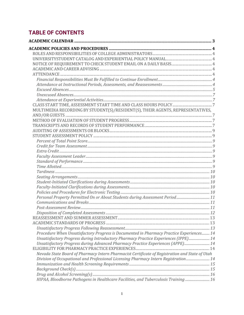# **TABLE OF CONTENTS**

| MULTIMEDIA RECORDING BY STUDENT(S)/RESIDENT(S), THEIR AGENTS, REPRESENTATIVES,                 |  |
|------------------------------------------------------------------------------------------------|--|
|                                                                                                |  |
|                                                                                                |  |
|                                                                                                |  |
|                                                                                                |  |
|                                                                                                |  |
|                                                                                                |  |
|                                                                                                |  |
|                                                                                                |  |
|                                                                                                |  |
|                                                                                                |  |
|                                                                                                |  |
|                                                                                                |  |
|                                                                                                |  |
|                                                                                                |  |
|                                                                                                |  |
|                                                                                                |  |
|                                                                                                |  |
|                                                                                                |  |
|                                                                                                |  |
|                                                                                                |  |
|                                                                                                |  |
|                                                                                                |  |
| Procedure When Unsatisfactory Progress is Documented in Pharmacy Practice Experiences 14       |  |
| Unsatisfactory Progress during Introductory Pharmacy Practice Experiences (IPPE) 14            |  |
| Unsatisfactory Progress during Advanced Pharmacy Practice Experiences (APPE) 14                |  |
|                                                                                                |  |
| Nevada State Board of Pharmacy Intern Pharmacist Certificate of Registration and State of Utah |  |
| Division of Occupational and Professional Licensing Pharmacy Intern Registration 14            |  |
|                                                                                                |  |
|                                                                                                |  |
|                                                                                                |  |
| HIPAA, Bloodborne Pathogens in Healthcare Facilities, and Tuberculosis Training 16             |  |
|                                                                                                |  |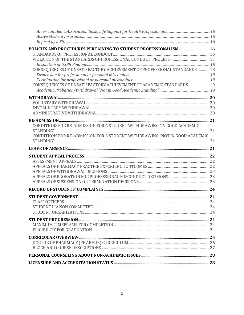| POLICIES AND PROCEDURES PERTAINING TO STUDENT PROFESSIONALISM 16                    |  |
|-------------------------------------------------------------------------------------|--|
|                                                                                     |  |
|                                                                                     |  |
|                                                                                     |  |
| CONSEQUENCES OF UNSATISFACTORY ACHIEVEMENT OF PROFESSIONAL STANDARDS  18            |  |
|                                                                                     |  |
| CONSEQUENCES OF UNSATISFACTORY ACHIEVEMENT OF ACADEMIC STANDARDS  19                |  |
|                                                                                     |  |
| ${\bf WITHDRAM} \label{thm:main} {\bf WITHDRAM} \label{thm:main} {\bf A}{\bf WATH}$ |  |
|                                                                                     |  |
|                                                                                     |  |
|                                                                                     |  |
|                                                                                     |  |
| CONDITIONS FOR RE-ADMISSION FOR A STUDENT WITHDRAWING "IN GOOD ACADEMIC             |  |
| CONDITIONS FOR RE-ADMISSION FOR A STUDENT WITHDRAWING "NOT IN GOOD ACADEMIC         |  |
|                                                                                     |  |
|                                                                                     |  |
|                                                                                     |  |
|                                                                                     |  |
|                                                                                     |  |
|                                                                                     |  |
|                                                                                     |  |
|                                                                                     |  |
|                                                                                     |  |
|                                                                                     |  |
|                                                                                     |  |
|                                                                                     |  |
|                                                                                     |  |
|                                                                                     |  |
|                                                                                     |  |
|                                                                                     |  |
|                                                                                     |  |
|                                                                                     |  |
|                                                                                     |  |
|                                                                                     |  |
|                                                                                     |  |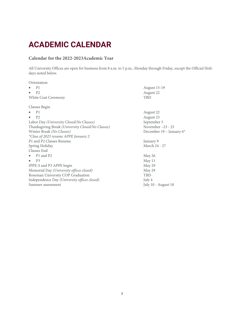# **ACADEMIC CALENDAR**

### **Calendar for the 2022-2023Academic Year**

All University Offices are open for business from 8 a.m. to 5 p.m., Monday through Friday, except the Official Holidays noted below.

| August 15-19               |
|----------------------------|
| August 22                  |
| TBD                        |
|                            |
| August 22                  |
| August 23                  |
| September 5                |
| November $-23 - 25$        |
| December 19 - January $6*$ |
|                            |
| January 9                  |
| March 24 - 27              |
|                            |
| May 26                     |
| May 11                     |
| May 29                     |
| May 29                     |
| TBD                        |
| July 4                     |
| July 10 - August 18        |
|                            |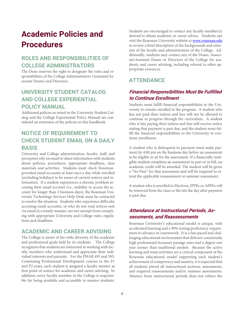# **Academic Policies and Procedures**

# **ROLES AND RESPONSIBILITIES OF COLLEGE ADMINISTRATORS**

The Dean reserves the right to designate the roles and responsibilities of the College Administrators (Assistant/Associate Deans) and Directors.

# **UNIVERSITY STUDENT CATALOG AND COLLEGE EXPERIENTIAL POLICY MANUAL**

Additional policies as noted in the University Student Catalog and the College Experiential Policy Manual are considered an extension of the policies in this handbook.

# **NOTICE OF REQUIREMENT TO CHECK STUDENT EMAIL ON A DAILY BASIS**

University and College administration, faculty, staff, and preceptors rely on email to share information with students about policies, procedures, appropriate deadlines, class materials and activities. Students must check Rosemanprovided email accounts at least once a day while enrolled (excluding holidays) to be aware of current notices and information. If a student experiences a chronic problem accessing their email account (i.e., inability to access the account for longer than 2 business days), the Roseman University Technology Services Help Desk must be contacted to resolve the situation. Students who experience difficulty accessing email accounts, or who do not read notices sent via email in a timely manner, are not exempt from complying with appropriate University and College rules, regulations and deadlines.

### **ACADEMIC AND CAREER ADVISING**

The College is aware of the wide diversity of the academic and professional goals held by its students. The College recognizes that students are interested in working with faculty members who understand and appreciate their individual interests and pursuits. For the PHAR 495 and 595: Continuing Professional Development courses in the P1 and P2 years, each student is assigned a faculty mentor as first point of contact for academic and career advising. In addition, every faculty member in the College is responsible for being available and accessible to mentor students. Students are encouraged to contact any faculty member(s) desired to obtain academic or career advice. Students can visit the Roseman University website at www.roseman.edu to review a brief description of the backgrounds and interests of the faculty and administration of the College. Additionally, students may contact any of the Deans, Associate/Assistant Deans or Directors of the College for academic and career advising, including referral to other appropriate resources.

# **ATTENDANCE**

## **Financial Responsibilities Must Be Fulfilled to Continue Enrollment**

Students must fulfill financial responsibilities to the University to remain enrolled in the program. A student who has not paid their tuition and fees will not be allowed to continue to progress through the curriculum. A student who is late paying their tuition and fees will receive notice stating that payment is past due, and the student must fulfill the financial responsibilities to the University to continue enrollment.

A student who is delinquent in payment must make payment by 4:00 pm on the business day before an assessment to be eligible to sit for the assessment. If a financially ineligible student completes an assessment in part or in full, no academic credit will be awarded. The student will be given a "No Pass" for that assessment and will be required to attend the applicable reassessment or summer assessment.

A student who is enrolled in Electives, IPPEs or APPEs will be removed from the class or the site the day after payment is past due.

### **Attendance at Instructional Periods, Assessments, and Reassessments**

Roseman University's educational model is unique, with accelerated learning and a 90% testing proficiency requirement to advance in coursework. It is a fast-paced and challenging educational environment that delivers consistently high professional licensure passage rates and a degree one year sooner than traditional models. Because the active learning and team activities are a critical component of the Roseman educational model supporting each student's achievement of competency and mastery, it is expected that all students attend all instructional sections, assessments, and required reassessments and/or summer assessments. Absence from instructional periods does not relieve the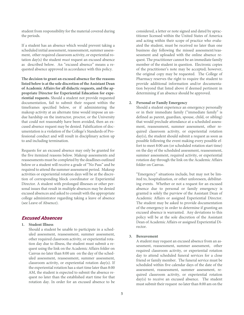student from responsibility for the material covered during the periods.

If a student has an absence which would prevent taking a scheduled initial assessment, reassessment, summer assessment, other required classroom activity, or experiential rotation day(s) the student *must* request an excused absence as described below. An "excused absence" means a requested absence approved in accordance with this policy.

**The decision to grant an excused absence for the reasons listed below is at the sole discretion of the Assistant Dean of Academic Affairs for all didactic requests, and the appropriate Director for Experiential Education for experiential requests.** Should a student not provide requested documentation, fail to submit their request within the timeframes specified below, or if administering the makeup activity at an alternate time would impose an undue hardship on the instructor, proctor, or the University that could not reasonably have been avoided, then an excused absence request may be denied. Falsification of documentation is a violation of the College's Standards of Professional conduct and will result in disciplinary action up to and including termination.

Requests for an excused absence may only be granted for the five itemized reasons below. Makeup assessments and reassessments must be completed by the deadlines outlined below or a student will receive a grade of "No Pass" and be required to attend the summer assessment period. Makeup activities or experiential rotation days will be at the discretion of corresponding block coordinator or Experiential Director. A student with prolonged illnesses or other personal issues that result in multiple absences may be denied excused absences and asked to consult with the appropriate college administrator regarding taking a leave of absence (see Leave of Absence).

#### **Excused Absences**

#### **1. Student Illness**

Should a student be unable to participate in a scheduled assessment, reassessment, summer assessment, other required classroom activity, or experiential rotation day due to illness, the student must submit a request using the link on the Academic Affairs folder on Canvas no later than 8:00 am on the day of the scheduled assessment, reassessment, summer assessment, classroom activity, or experiential rotation day(s). If the experiential rotation has a start time later than 8:00 AM, the student is expected to submit the absence request no later than the established start time for that rotation day. In order for an excused absence to be

considered, a letter or note signed and dated by apractitioner licensed within the United States of America and acting within their scope of practice who evaluated the student, must be received no later than one business day following the missed assessment/reassessment and uploaded with the online absence request. The practitioner cannot be an immediate family member of the student in question. Electronic copies of the practitioner's note may be accepted; however, the original copy may be requested. The College of Pharmacy reserves the right to require the student to provide additional information and/or documentation beyond that listed above if deemed pertinent in determining if an absence should be approved.

#### **2. Personal or Family Emergency**

Should a student experience an emergency personally or in their immediate family ("immediate family" is defined as parent, guardian, spouse, child, or sibling) that would preclude attendance at a scheduled assessment, reassessment, summer assessment, other required classroom activity, or experiential rotation day(s), the student should submit a request as soon as possible following the event making every possible effort to meet 8:00 am (or scheduled rotation start time) on the day of the scheduled assessment, reassessment, summer assessment, required activity, or experiential rotation day through the link on the Academic Affairs folder on Canvas.

"Emergency" situations include, but may not be limited to, hospitalization, or other unforeseen, debilitating events. Whether or not a request for an excused absence due to personal or family emergency is granted is solely the purview of the Assistant Dean of Academic Affairs or assigned Experiential Director. The student may be asked to provide documentation of the emergency in order to determine if granting an excused absence is warranted. Any deviations to this policy will be at the sole discretion of the Assistant Dean of Academic Affairs or assigned Experiential Director.

#### **3. Bereavement**

A student may request an excused absence from an assessment, reassessment, summer assessment, other required classroom activity, or experiential rotation day to attend scheduled funeral services for a close friend or family member. The funeral service must be scheduled within five calendar days of the date of the assessment, reassessment, summer assessment, required classroom activity, or experiential rotation day(s) to receive an excused absence. The student must submit their request no later than 8:00 am on the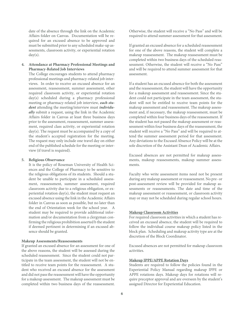date of the absence through the link on the Academic Affairs folder on Canvas. Documentation will be required for an excused absence to be approved and must be submitted prior to any scheduled make-up assessments, classroom activity, or experiential rotation  $day(s)$ .

#### **4. Attendance at Pharmacy Professional Meetings and Pharmacy-Related Job Interviews**

The College encourages students to attend pharmacy professional meetings and pharmacy-related job interviews. In order to receive an excused absence for an assessment, reassessment, summer assessment, other required classroom activity, or experiential rotation day(s) scheduled during a pharmacy professional meeting or pharmacy-related job interview, *each student* attending the meeting/interview must *individually* submit a request, using the link in the Academic Affairs folder in Canvas at least three business days prior to the assessment, reassessment, summer assessment, required class activity, or experiential rotation day(s). The request must be accompanied by a copy of the student's accepted registration for the meeting. The request may only include one travel day on either end of the published schedule for the meeting or interview (if travel is required).

#### **5. Religious Observance**

It is the policy of Roseman University of Health Sciences and the College of Pharmacy to be sensitive to the religious obligations of its students. Should a student be unable to participate in a scheduled assessment, reassessment, summer assessment, required classroom activity due to a religious obligation, or experiential rotation day(s), the student must request an excused absence using the link in the Academic Affairs folder in Canvas as soon as possible, but no later than the end of Orientation week for the school year. A student may be required to provide additional information and/or documentation from a clergyman confirming the religious prohibition asserted b the student if deemed pertinent in determining if an excused absence should be granted.

#### **Makeup Assessments/Reassessments**

If granted an excused absence for an assessment for one of the above reasons, the student will be assessed during the scheduled reassessment. Since the student could not participate in the team assessment, the student will not be entitled to receive team points for the reassessment. A student who received an excused absence for the assessment and did not pass the reassessment will have the opportunity for a makeup assessment. The makeup assessment must be completed within two business days of the reassessment. Otherwise, the student will receive a "No Pass" and will be required to attend summer assessment for that assessment.

If granted an excused absence for a scheduled reassessment for one of the above reasons, the student will complete a makeup reassessment. The makeup reassessment must be completed within two business days of the scheduled reassessment. Otherwise, the student will receive a "No Pass" and will be required to attend summer assessment for that assessment.

If a student has an excused absence for both the assessment and the reassessment, the student will have the opportunity for a makeup assessment and reassessment. Since the student could not participate in the team assessment, the student will not be entitled to receive team points for the makeup assessment and reassessment. The makeup assessment and, if necessary, the makeup reassessment, must be completed within four business days of the reassessment. If the student has not passed the makeup assessment or reassessment within four business days of the reassessment, the student will receive a "No Pass" and will be required to attend the summer assessment period for that assessment. Any deviations to the Excused Absence Policy will be at the sole discretion of the Assistant Dean of Academic Affairs.

Excused absences are not permitted for makeup assessments, makeup reassessments, makeup summer assessments.

Faculty who write assessment items need not be present during any makeup assessment or reassessment. No pre- or post-assessment review will be provided for makeup assessments or reassessments. The date and time of the makeup assessment or reassessment, or classroom activity may or may not be scheduled during regular school hours.

#### **Makeup Classroom Activities**

For required classroom activities in which a student has received an excused absence, the student will be required to follow the individual course makeup policy listed in the block plan. Scheduling and makeup activity type are at the discretion of the Block Coordinator.

Excused absences are not permitted for makeup classroom activities.

#### **Makeup IPPE/APPE Rotation Days**

Students are required to follow the policies found in the Experiential Policy Manual regarding makeup IPPE or APPE rotations days. Makeup days for rotations will require preceptor approval and are overseen by the student's assigned Director for Experiential Education.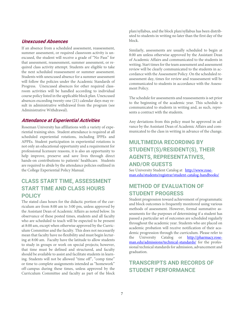#### **Unexcused Absences**

If an absence from a scheduled assessment, reassessment, summer assessment, or required classroom activity is unexcused, the student will receive a grade of "No Pass" for that assessment, reassessment, summer assessment, or required class activity attempt. Students are eligible to take the next scheduled reassessment or summer assessment. Students with unexcused absence for a summer assessment will follow the policies under the Academic Standards of Progress. Unexcused absences for other required classroom activities will be handled according to individual course policy listed in the applicable block plan. Unexcused absences exceeding twenty-one (21) calendar days may result in administrative withdrawal from the program (see Administrative Withdrawal).

#### **Attendance at Experiential Activities**

Roseman University has affiliations with a variety of experiential training sites. Student attendance is required at all scheduled experiential rotations, including IPPEs and APPEs. Student participation in experiential rotations is not only an educational opportunity and a requirement for professional licensure reasons, it is also an opportunity to help improve, preserve and save lives through direct hands-on contributions to patients' healthcare. Students are required to abide by the attendance policies outlined in the College Experiential Policy Manual.

# **CLASS START TIME, ASSESSMENT START TIME AND CLASS HOURS POLICY**

The stated class hours for the didactic portion of the curriculum are from 8:00 am to 3:00 pm, unless approved by the Assistant Dean of Academic Affairs as noted below. In observance of these posted times, students and all faculty who are scheduled to teach will be expected to be present at 8:00 am, except when otherwise approved by the Curriculum Committee and the faculty. This does not necessarily mean that faculty have no flexibility and must begin lecturing at 8:00 am. Faculty have the latitude to allow students to study in groups or work on special projects; however, that time must be defined and structured, and faculty should be available to assist and facilitate students in learning. Students will not be allowed "time off", "comp time" or time to complete assignments intended as "homework" off-campus during these times, unless approved by the Curriculum Committee and faculty as part of the block plan/syllabus, and the block plan/syllabus has been distributed to students in writing no later than the first day of the block.

Similarly, assessments are usually scheduled to begin at 8:00 am unless otherwise approved by the Assistant Dean of Academic Affairs and communicated to the students in writing. Start times for the team assessment and assessment review will be clearly communicated to the students in accordance with the Assessment Policy. On the scheduled reassessment day, times for review and reassessment will be communicated to students in accordance with the Assessment Policy.

The schedule for assessments and reassessments is set prior to the beginning of the academic year. This schedule is communicated to students in writing and, as such, represents a contract with the students.

Any deviations from this policy must be approved in advance by the Assistant Dean of Academic Affairs and communicated to the class in writing in advance of the change.

# **MULTIMEDIA RECORDING BY STUDENT(S)/RESIDENT(S), THEIR AGENTS, REPRESENTATIVES, AND/OR GUESTS**

See University Student Catalog at http://www.roseman.edu/students/registrar/student-catalog-handbooks/

# **METHOD OF EVALUATION OF STUDENT PROGRESS**

Student progression toward achievement of programmatic and block outcomes is frequently monitored using various methods of assessment. However, formal summative assessments for the purposes of determining if a student has passed a particular set of outcomes are scheduled regularly throughout the academic year. Students who are placed on academic probation will receive notification of their academic progression through the curriculum. Please refer to the University Catalog or http://pharmacy.roseman.edu/admissions/technical-standards/ for the professional technical standards for admission, advancement and graduation.

# **TRANSCRIPTS AND RECORDS OF STUDENT PERFORMANCE**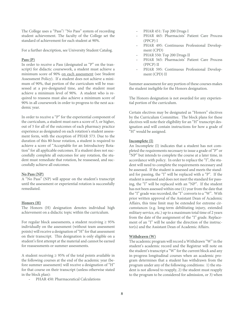The College uses a "Pass"/ "No Pass" system of recording student achievement. The faculty of the College set the standard of achievement for each student at 90%.

For a further description, see University Student Catalog.

#### **Pass (P)**

In order to receive a Pass (designated as "P" on the transcript) for didactic coursework, a student must achieve a minimum score of 90% on each assessment (see Student Assessment Policy). If a student does not achieve a minimum of 90%, that portion of the curriculum will be reassessed at a pre-designated time, and the student must achieve a minimum level of 90%. A student who is required to reassess must also achieve a minimum score of 90% in all coursework in order to progress to the next academic year.

In order to receive a "P" for the experiential component of the curriculum, a student must earn a score of 3, or higher, out of 5 for all of the outcomes of each pharmacy practice experience as designated on each rotation's student assessment form, with the exception of PHAR 573. Due to the duration of this 80-hour rotation, a student is required to achieve a score of "Acceptable for an Introductory Rotation" for all applicable outcomes. If a student does not successfully complete all outcomes for any rotation, the student must remediate that rotation, be reassessed, and successfully achieve all outcomes.

#### **No Pass (NP)**

A "No Pass" (NP) will appear on the student's transcript until the assessment or experiential rotation is successfully remediated.

#### **Honors (H)**

The Honors (H) designation denotes individual high achievement on a didactic topic within the curriculum.

For regular block assessments, a student receiving  $\geq 95\%$ individually on the assessment (without team assessment points) will receive a designation of "H" for that assessment on their transcript. This designation is only eligible on a student's first attempt at the material and cannot be earned for reassessments or summer assessments.

A student receiving  $\geq$  95% of the total points available in the following courses at the end of the academic year (before summer assessment) will receive a designation of "H" for that course on their transcript (unless otherwise stated in the block plan):

PHAR 450: Pharmaceutical Calculations

- PHAR 451: Top 200 Drugs I
- PHAR 465: Pharmacists' Patient Care Process (PPCP) I
- PHAR 495: Continuous Professional Development (CPD)
- PHAR 550: Top 200 Drugs II
- PHAR 565: Pharmacists' Patient Care Process (PPCP) II
- PHAR 595: Continuous Professional Development (CPD) II

Summer assessment for any portion of these courses makes the student ineligible for the Honors designation.

The Honors designation is not awarded for any experiential portion of the curriculum.

Certain electives may be designated as "Honors" electives by the Curriculum Committee. The block plans for these electives will note their eligibility for an "H" transcript designation and will contain instructions for how a grade of "H" would be assigned.

#### **Incomplete (I)**

An Incomplete (I) indicates that a student has not completed the requirements necessary to issue a grade of "P" or "NP" but intends to complete the course at a later time, in accordance with policy. In order to replace the "I", the student will need to complete the requirements necessary and be assessed. If the student is assessed and meets the standard for passing, the "I" will be replaced with a "P". If the student is assessed and does not meet the standard for passing, the "I" will be replaced with an "NP". If the student has not been assessed within one (1) year from the date that the "I" grade was recorded, the "I" converts to a "W". With prior written approval of the Assistant Dean of Academic Affairs, this time limit may be extended for extreme circumstances (e.g. long-term debilitating injury, extended military service, etc.) up to a maximum total time of 2 years from the date of the assignment of the "I" grade. Replacement of an "I" will be under the direction of the instructor(s) and the Assistant Dean of Academic Affairs.

#### **Withdrawn (W)**

The academic program will record a Withdrawn "W" in the student's academic record and the Registrar will note on the student's transcript a "W" for the current block and any in-progress longitudinal courses when an academic program determines that a student has withdrawn from the program under any of the following conditions: 1) the student is not allowed to reapply, 2) the student must reapply to the program to be considered for admission, or 3) when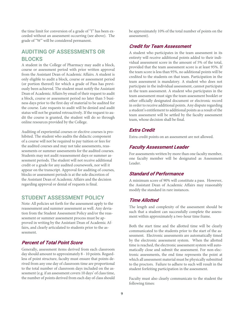the time limit for conversion of a grade of "I" has been exceeded without an assessment occurring (see above). The grade of "W" will be considered permanent.

## **AUDITING OF ASSESSMENTS OR BLOCKS**

A student in the College of Pharmacy may audit a block, course or assessment period with prior written approval from the Assistant Dean of Academic Affairs. A student is only eligible to audit a block, course or assessment period (or portion thereof) for which a grade of Pass has previously been achieved. The student must notify the Assistant Dean of Academic Affairs by email of their request to audit a block, course or assessment period no later than 5 business days prior to the first day of material to be audited for the course. Late requests to audit will be denied and audit status will not be granted retroactively. If the request to audit the course is granted, the student will do so through online resources provided by the College.

Auditing of experiential courses or elective courses is prohibited. The student who audits the didactic component of a course will not be required to pay tuition or fees for the audited courses and may not take assessments, reassessments or summer assessments for the audited courses. Students may not audit reassessment days or summer assessment periods. The student will not receive additional credit or a grade for any audited coursework, nor will it appear on the transcript. Approval for auditing of courses, blocks or assessment periods is at the sole discretion of the Assistant Dean of Academic Affairs and the decision regarding approval or denial of requests is final.

#### **STUDENT ASSESSMENT POLICY**

Note: All policies set forth for the assessment apply to the reassessment and summer assessment as well. Any deviation from the Student Assessment Policy and/or the reassessment or summer assessment process must be approved in writing by the Assistant Dean of Academic Affairs, and clearly articulated to students prior to the assessment.

#### **Percent of Total Point Score**

Generally, assessment items derived from each classroom day should amount to approximately 8 - 10 points. Regardless of point structure, faculty must ensure that points derived from any one day of classroom time are proportional to the total number of classroom days included on the assessment (e.g. if an assessment covers 10 days' of class time, the number of points derived from each day of class should

be approximately 10% of the total number of points on the assessment).

#### **Credit for Team Assessment**

A student who participates in the team assessment in its entirety will receive additional points added to their individual assessment score in the amount of 5% of the total, provided that the team assessment score is at least 95%. If the team score is less than 95%, no additional points will be credited to the students on that team. Participation in the team assessment is mandatory. A student who does not participate in the individual assessment, cannot participate in the team assessment. A student who participates in the team assessment must sign the team assessment booklet or other officially designated document or electronic record in order to receive additional points. Any dispute regarding a student's entitlement to additional points as a result of the team assessment will be settled by the faculty assessment team, whose decision shall be final.

#### **Extra Credit**

Extra credit points on an assessment are not allowed.

#### **Faculty Assessment Leader**

For assessments written by more than one faculty member, one faculty member will be designated as Assessment Leader.

#### **Standard of Performance**

A minimum score of 90% will constitute a pass. However, the Assistant Dean of Academic Affairs may reasonably modify the standard in rare instances.

#### **Time Allotted**

The length and complexity of the assessment should be such that a student can successfully complete the assessment within approximately a two-hour time frame.

Both the start time and the allotted time will be clearly communicated to the students prior to the start of the assessment. Electronic assessments are automatically timed by the electronic assessment system. When the allotted time is reached, the electronic assessment system will automatically close and submit the assessment. For non-electronic assessments, the end time represents the point at which all assessment material must be physically submitted to the proctors. Failure to adhere to such will result in the student forfeiting participation in the assessment.

Faculty must also clearly communicate to the student the following times: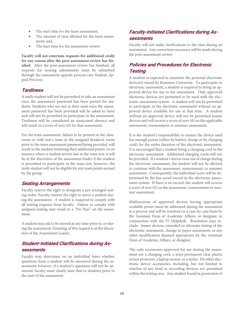- The start time for the team assessment;
- The amount of time allotted for the team assessment; and,
- The start time for the assessment review.

**Faculty will not entertain requests for additional credit for any reason after the post-assessment review has finished.** After the post-assessment review has finished, all requests for scoring adjustments must be submitted through the assessment appeals process (see Student Appeal Process).

#### **Tardiness**

A tardy student will not be permitted to take an assessment once the assessment password has been posted for students. Students who are not in their seats once the assessment password has been provided will be asked to leave and will not be permitted to participate in the assessment. Tardiness will be considered an unexcused absence and will result in a score of zero (0) for that assessment.

For the team assessment, failure to be present in the classroom or with one's team in the assigned breakout room prior to the team assessment password being provided will result in the student forfeiting their additional points. In an instance where a student arrives late to the team test, it will be at the discretion of the assessment leader if the student is permitted to participate in the team test, however, the tardy student will not be eligible for any team points earned by the group.

#### **Seating Arrangements**

Faculty reserve the right to designate a pre-arranged seating order. Faculty reserve the right to move a student during the assessment. A student is required to comply with all seating requests from faculty. Failure to comply with assigned seating may result in a "No Pass" on the assessment.

A student may ask to be moved at any time prior to, or during the assessment. Granting of this request is at the discretion of the Assessment Leader.

### **Student-Initiated Clarifications during Assessments**

Faculty may determine on an individual basis whether questions from a student will be answered during the assessment; however, if a student's questions will not be answered, faculty must clearly state that to students prior to the start of the assessment.

## **Faculty-Initiated Clarifications during Assessments**

Faculty will not make clarifications to the class during an assessment. Any corrections necessary will be made during the post-assessment review.

## **Policies and Procedures for Electronic Testing**

A student is expected to maintain the personal electronic device(s) issued by Roseman University. To participate in electronic assessment, a student is required to bring an approved device for use to the assessment. Only approved electronic devices are permitted to be used with the electronic assessment system. A student will not be permitted to participate in the electronic assessment without an approved device available for use at that time. A student without an approved device will not be permitted loaner devices and will receive a score of zero (0) on the applicable assessment, reassessment or summer assessment.

It is the student's responsibility to ensure the device used has enough power (either by battery charge or by charging cord) for the entire duration of the electronic assessment. It is encouraged that a student bring a charging cord to the electronic assessment. Additional charging cords will not be provided. If a student's device runs out of charge during the electronic assessment, the student will not be allowed to continue with the assessment, reassessment, or summer assessment. Consequently, the individual score will be determined by the last saved record in the electronic assessment system. If there is no record, the student will receive a score of zero (0) on the assessment, reassessment or summer assessment.

Malfunctions of approved devices having appropriate available power must be addressed during the assessment to a proctor and will be resolved on a case-by-case basis by the Assistant Dean of Academic Affairs, or designee, in conjunction with the IT Helpdesk. Resolution may include: loaner devices, extended or alternate timing of the electronic assessment, change to paper assessment, or any other modification deemed appropriate by the Assistant Dean of Academic Affairs, or designee.

The only accessories approved for use during the assessment are a charging cord, a semi-permanent clear plastic screen protector, a laptop mouse, or a stylus. No other electronic device accessories, including, but not limited to watches of any kind or recording devices, are permitted within the testing area. Any student found in possession of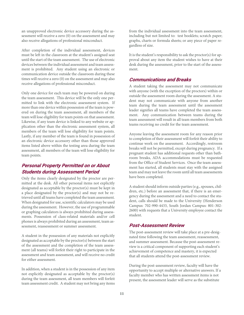an unapproved electronic device accessory during the assessment will receive a zero (0) on the assessment and may also receive allegations of professional misconduct.

After completion of the individual assessment, devices must be left in the classroom at the student's assigned seat until the start of the team assessment. The use of electronic devices between the individual assessment and team assessment is prohibited. Any student using an electronic or communication device outside the classroom during these times will receive a zero (0) on the assessment and may also receive allegations of professional misconduct.

Only one device for each team may be powered on during the team assessment. This device will be the only one permitted to link with the electronic assessment system. If more than one device within possession of the team is powered on during the team assessment, all members of the team will lose eligibility for team points on that assessment. Likewise, if any team device is linked to any website or application other than the electronic assessment system, all members of the team will lose eligibility for team points. Lastly, if any member of the team is found in possession of an electronic device accessory other than those approved items listed above within the testing area during the team assessment, all members of the team will lose eligibility for team points.

#### **Personal Property Permitted on or About Students during Assessment Period**

Only the items clearly designated by the proctor are permitted at the desk. All other personal items not explicitly designated as acceptable by the proctor(s) must be kept in a place designated by the proctor(s) and may not be retrieved until all teams have completed the team assessment. When designated for use, scientific calculators may be used during the assessment. However, the use of programmable or graphing calculators is always prohibited during assessments. Possession of class-related materials and/or cell phones is always prohibited during an assessment, team assessment, reassessment or summer assessment.

A student in the possession of any materials not explicitly designated as acceptable by the proctor(s) between the start of the assessment and the completion of the team assessment (all teams) will forfeit their right to participate in the assessment and team assessment, and will receive no credit for either assessment.

In addition, when a student is in the possession of any item not explicitly designated as acceptable by the proctor(s) during the team assessment, all team members will forfeit team assessment credit. A student may not bring any items

from the individual assessment into the team assessment, including but not limited to: test booklets; scratch paper; graphs, charts or formula sheets; or any piece of paper regardless of size.

It is the student's responsibility to ask the proctor(s) for approval about any item the student wishes to have at their desk during the assessment, prior to the start of the assessment.

#### **Communications and Breaks**

A student taking the assessment may not communicate with anyone (with the exception of the proctors) within or outside the assessment room during the assessment. A student may not communicate with anyone from another team during the team assessment until the assessment leader signifies all teams have completed the team assessment. Any communication between teams during the team assessment will result in all team members from both teams receiving no credit for the team assessment.

Anyone leaving the assessment room for any reason prior to completion of their assessment will forfeit their ability to continue work on the assessment. Accordingly, restroom breaks will not be permitted, except during pregnancy. If a pregnant student has additional requests other than bathroom breaks, ADA accommodations must be requested from the Office of Student Services. Once the team assessment has started, all students must stay with the assigned team and may not leave the room until all team assessments have been completed.

A student should inform outside parties (e.g., spouses, children, etc.) before an assessment that, if there is an emergency during the assessment and a need to contact the student, calls should be made to the University (Henderson Campus: 702-990-4433, South Jordan Campus: 801-302- 2600) with requests that a University employee contact the student.

#### **Post-Assessment Review**

The post-assessment review will take place at a pre-designated time following the team assessment, reassessment, and summer assessment. Because the post-assessment review is a critical component of supporting each student's achievement of competence and mastery, it is expected that all students attend the post-assessment review.

During the post-assessment review, faculty will have the opportunity to accept multiple or alternative answers. If a faculty member who has written assessment items is not present, the assessment leader will serve as the substitute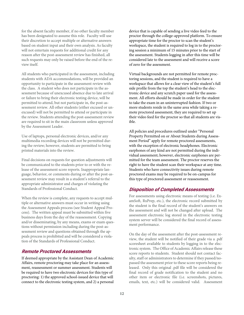for the absent faculty member, if no other faculty member has been designated to assume this role. Faculty will use their discretion to accept multiple or alternative answers based on student input and their own analysis. As faculty will not entertain requests for additional credit for any reason after the post-assessment review has finished, all such requests may only be raised before the end of the review itself.

All students who participated in the assessment, including students with ADA accommodations, will be provided an opportunity to participate in the assessment review with the class. A student who does not participate in the assessment because of unexcused absence due to late arrival or failure to bring their electronic testing device, will be permitted to attend, but not participate in, the post-assessment review. All other students (either excused or unexcused) will not be permitted to attend or participate in the review. Students attending the post-assessment review are required to sit in the main classroom unless approved by the Assessment Leader.

Use of laptops, personal electronic devices, and/or any multimedia recording devices will not be permitted during the review; however, students are permitted to bring printed materials into the review.

Final decisions on requests for question adjustments will be communicated to the students prior to or with the release of the assessment score reports. Inappropriate language, behavior, or comments during or after the post-assessment review may result in a student's referral to the appropriate administrator and charges of violating the Standards of Professional Conduct.

When the review is complete, any requests to accept multiple or alternative answers must occur in writing using the Assessment Appeals process (see Student Appeal Process). The written appeal must be submitted within five business days from the day of the reassessment. Copying and/or disseminating, by any means, exams or exam questions without permission including during the post-assessment review and questions obtained through the appeals process is prohibited and will be considered a violation of the Standards of Professional Conduct.

#### **Remote Proctored Assessments**

If deemed appropriate by the Assistant Dean of Academic Affairs, remote proctoring may take place for an assessment, reassessment or summer assessment. Students will be required to have two electronic devices for this type of proctoring: 1) the approved school-issued device that will connect to the electronic testing system, and 2) a personal

device that is capable of sending a live video feed to the proctor through the college-approved platform. To ensure appropriate time for the proctor to scan the student's workspace, the student is required to log in to the proctoring session a minimum of 15 minutes prior to the start of the assessment. Students logging in after this time will be considered late to the assessment and will receive a score of zero for the assessment.

Virtual backgrounds are not permitted for remote proctoring sessions, and the student is required to have a workspace that allows for a clear view of the student's full side profile from the top the student's head to the electronic device and any scratch paper used for the assessment. All efforts should be made in order for the student to take the exam in an uninterrupted fashion. If two or more students reside in the same area while taking a remote proctored assessment, they are required to set up their video feed for the proctor so that all students are visible.

All policies and procedures outlined under "Personal Property Permitted on or About Students during Assessment Period" apply for remote proctored assessments, with the exception of electronic headphones. Electronic earphones of any kind are not permitted during the individual assessment; however, electronic earphones are permitted for the team assessment. The proctor reserves the right to have the student scan their workspace at any time. Students who have connectivity issues during remote proctored exams may be required to be on-campus for this type of proctored assessment or reassessment.

#### **Disposition of Completed Assessments**

For assessments using electronic means of testing (i.e. ExamSoft, RxPrep, etc.), the electronic record submitted by the student is the final record of the student's answers on the assessment and will not be changed after upload. The assessment electronic log stored in the electronic testing system server will be considered the final record of assessment performance.

On the day of the assessment after the post-assessment review, the student will be notified of their grade via a .pdf scoresheet available to students by logging in to the electronic system. The Office of Academic Affairs release these score reports to students. Student should not contact faculty, staff or administrators to determine if they passed/nopassed the assessment prior to these score reports being released. Only this original .pdf file will be considered the final record of grade notification to the student and no other item or electronic file (i.e. screenshots, pictures, emails, text, etc.) will be considered valid. Assessment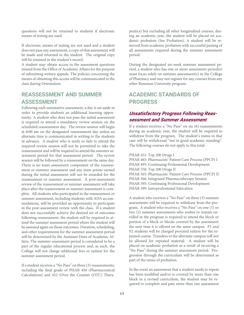questions will not be returned to students if electronic means of testing are used.

If electronic means of testing are not used and a student does not pass any assessment, a copy of that assessment will be made and returned to the student. The original copy will be retained in the student's record.

A student may obtain access to the assessment questions missed from the Office of Academic Affairs for the purpose of submitting written appeals. The policies concerning the means of obtaining this access will be communicated to the class during Orientation.

# **REASSESSMENT AND SUMMER ASSESSMENT**

Following each summative assessment, a day is set aside in order to provide students an additional learning opportunity. A student who does not pass the initial assessment is required to attend a mandatory review session on the scheduled reassessment day. The review session will begin at 8:00 am on the designated reassessment day unless an alternate time is communicated in writing to the students in advance. A student who is tardy or fails to attend the required review session will not be permitted to take the reassessment and will be required to attend the summer assessment period for that assessment period. The review session will be followed by a reassessment on the same day. There is no team assessment component of the reassessment or summer assessment and any team points earned during the initial assessment will not be awarded for the reassessment or summer assessment. A post-assessment review of the reassessment or summer assessment will take place after the reassessment or summer assessment is complete. All students who participated in the reassessment or summer assessment, including students with ADA accommodations, will be provided an opportunity to participate in the post-assessment review with the class. If a student does not successfully achieve the desired set of outcomes following reassessment, the student will be required to attend the summer assessment period where the student will be assessed again on those outcomes. Duration, scheduling, and other requirements for the summer assessment period will be determined by the Assistant Dean of Academic Affairs. The summer assessment period is considered to be a part of the regular educational process and, as such, the College will not charge additional fees or tuition for the summer assessment period.

If a student receives a "No Pass" on three (3) reassessments, including the final grade of PHAR 450 (Pharmaceutical Calculations) and 452 (Over the Counter (OTC) Therapeutics) but excluding all other longitudinal courses, during an academic year, the student will be placed on academic probation (See Probation). A student will be removed from academic probation with successful passing of all assessments required during the summer assessment period.

During the designated six-week summer assessment period, a student who has one or more assessment period(s) must focus solely on summer assessment(s) in the College of Pharmacy and may not register for any courses from any other Roseman University program.

# **ACADEMIC STANDARDS OF PROGRESS**

#### **Unsatisfactory Progress Following Reassessment and Summer Assessment**

If a student receives a "No Pass" on six (6) reassessments during an academic year, the student will be required to withdraw from the program. The student's status in that case will be withdrawal "not in good academic standing". The following courses do not apply to this total:

#### PHAR 451: Top 200 Drugs I

PHAR 465: Pharmacists' Patient Care Process (PPCP) I PHAR 495: Continuing Professional Development PHAR 550: Top 200 Drugs II PHAR 565: Pharmacists' Patient Care Process (PPCP) II PHAR 566: Integrated Pharmacotherapy Session PHAR 595: Continuing Professional Development PHAR 599: Interprofessional Education

A student who receives a "No Pass" on three (3) summer assessments will be required to withdraw from the program. A student who receives a "No Pass" on one (1) or two (2) summer assessments who wishes to remain enrolled in the program is required to attend the block or portion of a block or blocks covered by the assessment the next time it is offered on the same campus. P1 and P2 students will be charged prorated tuition for the repeated course. Transfers to the alternate campus will not be allowed for repeated material. A student will be placed on academic probation as a result of receiving a "No Pass" during the summer assessment period. Progression through the curriculum will be determined as part of the terms of probation.

In the event an assessment that a student needs to repeat has been modified and/or is covered by more than one block in a revised curriculum, the student may be required to complete and pass more than one assessment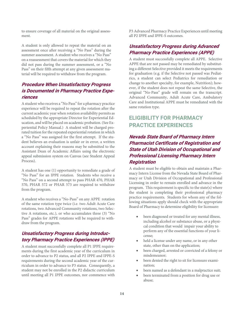to ensure coverage of all material on the original assessment.

A student is only allowed to repeat the material on an assessment once after receiving a "No Pass" during the summer assessment. A student who receives a "No Pass" on a reassessment that covers the material for which they did not pass during the summer assessment, or a "No Pass" on their fifth attempt at any given assessment material will be required to withdraw from the program.

### **Procedure When Unsatisfactory Progress is Documented in Pharmacy Practice Experiences**

A student who receives a "No Pass" for a pharmacy practice experience will be required to repeat the rotation after the current academic year when rotation availability permits as scheduled by the appropriate Director for Experiential Education, and will be placed on academic probation. (See Experiential Policy Manual.) A student will be charged prorated tuition for the repeated experiential rotation in which a "No Pass" was assigned for the first attempt. If the student believes an evaluation is unfair or in error, a written account explaining their reasons may be submitted to the Assistant Dean of Academic Affairs using the electronic appeal submission system on Canvas (see Student Appeal Process).

A student has one (1) opportunity to remediate a grade of "No Pass" for an IPPE rotation. Students who receive a "No Pass" on a second attempt to pass PHAR 470, PHAR 570, PHAR 572 or PHAR 573 are required to withdraw from the program.

A student who receives a "No-Pass" on any APPE rotation of the same rotation type twice (i.e. two Adult Acute Care rotations, two Advanced Community rotations, two Selective A rotations, etc.), or who accumulates three (3) "No Pass" grades for APPE rotations will be required to withdraw from the program.

### **Unsatisfactory Progress during Introductory Pharmacy Practice Experiences (IPPE)**

A student must successfully complete all P1 IPPE requirements during the first academic year of the curriculum in order to advance to P2 status, and all P2 IPPE and IPPE-S requirements during the second academic year of the curriculum in order to advance to P3 status. Consequently, a student may not be enrolled in the P2 didactic curriculum until meeting all P1 IPPE outcomes, nor commence with P3 Advanced Pharmacy Practice Experiences until meeting all P2 IPPE and IPPE-S outcomes.

# **Unsatisfactory Progress during Advanced Pharmacy Practice Experiences (APPE)**

A student must successfully complete all APPE. Selective APPE that are not passed may be remediated by substituting a different Selective provided it meets the requirements for graduation (e.g. if the Selective not passed was Pediatrics, a student can select Pediatrics for remediation or change to another specialty, for example, Nutrition); however, if the student does not repeat the same Selective, the original "No-Pass" grade will remain on the transcript. Advanced Community, Adult Acute Care, Ambulatory Care and Institutional APPE must be remediated with the same rotation type.

# **ELIGIBILITY FOR PHARMACY PRACTICE EXPERIENCES**

# **Nevada State Board of Pharmacy Intern Pharmacist Certificate of Registration and State of Utah Division of Occupational and Professional Licensing Pharmacy Intern Registration**

A student must be eligible to obtain and maintain a Pharmacy Intern License from the Nevada State Board of Pharmacy or Utah Division of Occupational and Professional Licensing in order to remain enrolled and advance in the program. This requirement is specific to the state(s) where the student is completing their professional pharmacy practice requirements. Students for whom any of the following situations apply should check with the appropriate Board of Pharmacy to determine eligibility for licensure:

- been diagnosed or treated for any mental illness, including alcohol or substance abuse, or a physical condition that would impair your ability to perform any of the essential functions of your license;
- held a license under any name, or in any other state, other than on the application;
- been charged, arrested or convicted of a felony or misdemeanor;
- been denied the right to sit for licensure examination;
- been named as a defendant in a malpractice suit;
- been terminated from a position for drug use or abuse;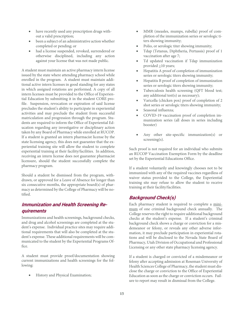- have recently used any prescription drugs without a valid prescription;
- been a subject of an administrative action whether completed or pending; or
- had a license suspended, revoked, surrendered or otherwise disciplined, including any action against your license that was not made public.

A student must maintain an active pharmacy intern license issued by the state where attending pharmacy school while enrolled in the program. A student must maintain additional active intern licenses in good standing for any states in which assigned rotations are performed. A copy of all intern licenses must be provided to the Office of Experiential Education by submitting it in the student CORE profile. Suspension, revocation or expiration of said license precludes the student's ability to participate in experiential activities and may preclude the student from successful matriculation and progression through the program. Students are required to inform the Office of Experiential Education regarding any investigative or disciplinary action taken by any Board of Pharmacy while enrolled at RUCOP. If a student is granted an intern pharmacist license by the state licensing agency, this does not guarantee that the experiential training site will allow the student to complete experiential training at their facility/facilities. In addition, receiving an intern license does not guarantee pharmacist licensure, should the student successfully complete the pharmacy program.

Should a student be dismissed from the program, withdrawn, or approved for a Leave of Absence for longer than six consecutive months, the appropriate board(s) of pharmacy as determined by the College of Pharmacy will be notified.

### **Immunization and Health Screening Requirements**

Immunizations and health screenings, background checks, and drug and alcohol screenings are completed at the student's expense. Individual practice sites may require additional requirements that will also be completed at the student's expense. These additional requirements will be communicated to the student by the Experiential Programs Office.

A student must provide proof/documentation showing current immunizations and health screenings for the following:

• History and Physical Examination;

- MMR (measles, mumps, rubella) proof of completion of the immunization series or serologic titers showing immunity;
- Polio, or serologic titer showing immunity;
- Tdap (Tetanus, Diphtheria, Pertussis) proof of 1 vaccination after age 7;
- Td updated vaccination if Tdap immunization provided  $\geq$ 10 years;
- Hepatitis A proof of completion of immunization series or serologic titers showing immunity;
- Hepatitis B proof of completion of immunization series or serologic titers showing immunity;
- Tuberculosis health screening (QFT blood test; any additional test(s) as necessary);
- Varicella (chicken pox) proof of completion of 2 shot series or serologic titers showing immunity;
- Seasonal influenza;
- COVID-19 vaccination proof of completion immunization series (all doses in series including booster)
- Any other site-specific immunization(s) or screening(s).

Such proof is not required for an individual who submits an RUCOP Vaccination Exemption Form by the deadline set by the Experiential Educations Office.

If a student voluntarily and knowingly chooses not to be immunized with any of the required vaccines regardless of waiver status provided to the College, the Experiential training site may refuse to allow the student to receive training at their facility/facilities.

### **Background Check(s)**

Each pharmacy student is required to complete a minimum of one criminal background check annually. The College reserves the right to require additional background checks at the student's expense. If a student's criminal background check shows a charge or conviction for a misdemeanor or felony, or reveals any other adverse information, it may preclude participation in experiential rotations and will be disclosed to the Nevada State Board of Pharmacy, Utah Division of Occupational and Professional Licensing or any other state pharmacy licensing agency.

If a student is charged or convicted of a misdemeanor or felony after accepting admission at Roseman University of Health Sciences College of Pharmacy, the student must disclose the charge or conviction to the Office of Experiential Education as soon as the charge or conviction occurs. Failure to report may result in dismissal from the College.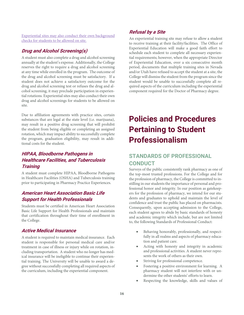Experiential sites may also conduct their own background checks for students to be allowed on site.

#### **Drug and Alcohol Screening(s)**

A student must also complete a drug and alcohol screening annually at the student's expense. Additionally, the College reserves the right to require a drug and alcohol screening at any time while enrolled in the program. The outcome of the drug and alcohol screening must be satisfactory. If a student does not achieve a satisfactory outcome for the drug and alcohol screening test or refuses the drug and alcohol screening, it may preclude participation in experiential rotations. Experiential sites may also conduct their own drug and alcohol screenings for students to be allowed on site.

Due to affiliation agreements with practice sites, certain substances that are legal at the state level (i.e. marijuana), may result in a positive drug screening that will prohibit the student from being eligible or completing an assigned rotation, which may impact ability to successfully complete the program, graduation eligibility, may result in additional costs for the student.

### **HIPAA, Bloodborne Pathogens in Healthcare Facilities, and Tuberculosis Training**

A student must complete HIPAA, Bloodborne Pathogens in Healthcare Facilities (OSHA) and Tuberculosis training prior to participating in Pharmacy Practice Experiences.

#### **American Heart Association Basic Life Support for Health Professionals**

Students must be certified in American Heart Association Basic Life Support for Health Professionals and maintain that certification throughout their time of enrollment in the College.

#### **Active Medical Insurance**

A student is required to maintain medical insurance. Each student is responsible for personal medical care and/or treatment in case of illness or injury while on rotation, including transportation. A student who no longer has medical insurance will be ineligible to continue their experiential training. The University will be unable to award a degree without successfully completing all required aspects of the curriculum, including the experiential component.

#### **Refusal by a Site**

An experiential training site may refuse to allow a student to receive training at their facility/facilities. The Office of Experiential Education will make a good faith effort to schedule each student to complete all necessary experiential requirements; however, when the appropriate Director of Experiential Education, over a six consecutive month period, documents that multiple training sites in Nevada and/or Utah have refused to accept the student at a site, the College will dismiss the student from the program since the student would be unable to successfully complete all required aspects of the curriculum including the experiential component required for the Doctor of Pharmacy degree.

# **Policies and Procedures Pertaining to Student Professionalism**

# **STANDARDS OF PROFESSIONAL CONDUCT**

Surveys of the public consistently rank pharmacy as one of the top-most trusted professions. For the College and for the profession of pharmacy, the College is committed to instilling in our students the importance of personal and professional honor and integrity. In our position as gatekeepers for the profession of pharmacy, we intend for our students and graduates to uphold and maintain the level of confidence and trust the public has placed on pharmacists. Consequently, upon accepting admission to the College, each student agrees to abide by basic standards of honesty and academic integrity which include, but are not limited to, the following Standards of Professional Conduct:

- Behaving honorably, professionally, and respectfully in all realms and aspects of pharmacy education and patient care.
- Acting with honesty and integrity in academic and professional activities. A student never represents the work of others as their own.
- Striving for professional competence.
- Fostering a positive environment for learning. A pharmacy student will not interfere with or undermine the other students' efforts to learn.
- Respecting the knowledge, skills and values of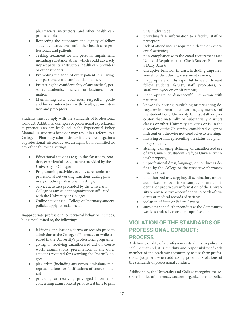pharmacists, instructors, and other health care professionals.

- Respecting the autonomy and dignity of fellow students, instructors, staff, other health care professionals and patients.
- Seeking treatment for any personal impairment, including substance abuse, which could adversely impact patients, instructors, health care providers or other students.
- Promoting the good of every patient in a caring, compassionate and confidential manner.
- Protecting the confidentiality of any medical, personal, academic, financial or business information.
- Maintaining civil, courteous, respectful, polite and honest interactions with faculty, administration and preceptors.

Students must comply with the Standards of Professional Conduct. Additional examples of professional expectations at practice sites can be found in the Experiential Policy Manual. A student's behavior may result in a referral to a College of Pharmacy administrator if there are allegations of professional misconduct occurring in, but not limited to, any of the following settings:

- Educational activities (e.g. in the classroom, rotation, experiential assignments) provided by the University or College;
- Programming activities, events, ceremonies or professional networking functions during pharmacy or other professional meetings;
- Service activities promoted by the University, College or any student organizations affiliated with the University or College;
- Online activities: all College of Pharmacy student policies apply to social media.

Inappropriate professional or personal behavior includes, but is not limited to, the following:

- falsifying applications, forms or records prior to admission to the College of Pharmacy or while enrolled in the University's professional programs;
- giving or receiving unauthorized aid on course work, examinations, presentation, or any other activities required for awarding the PharmD degree.
- plagiarism (including any errors, omissions, misrepresentations, or falsifications of source material);
- providing or receiving privileged information concerning exam content prior to test time to gain

unfair advantage;

- providing false information to a faculty, staff or preceptor;
- lack of attendance at required didactic or experiential activities;
- non-compliance with the email requirement (see Notice of Requirement to Check Student Email on a Daily Basis);
- disruptive behavior in class, including unprofessional conduct during assessment reviews;
- inappropriate or disrespectful behavior toward fellow students, faculty, staff, preceptors, or staff/employees on or off campus;
- inappropriate or disrespectful interaction with patients;
- knowingly posting, publishing or circulating derogatory information concerning any member of the student body, University faculty, staff, or preceptor that materially or substantially disrupts classes or other University activities or is, in the discretion of the University, considered vulgar or indecent or otherwise not conducive to learning;
- misusing or misrepresenting the status of a pharmacy student;
- stealing, damaging, defacing, or unauthorized use of any University, student, staff, or University visitor's property;
- unprofessional dress, language, or conduct as defined by the College or the respective pharmacy practice sites;
- unauthorized use, copying, dissemination, or unauthorized removal from campus of any confidential or proprietary information of the University or any sensitive or confidential records of students or medical records of patients;
- violation of State or Federal law; or
- such other and further conduct as the Community would standardly consider unprofessional

# **VIOLATION OF THE STANDARDS OF PROFESSIONAL CONDUCT: PROCESS**

A defining quality of a profession is its ability to police itself. To that end, it is the duty and responsibility of each member of the academic community to use their professional judgment when addressing potential violations of the standards of professional conduct.

Additionally, the University and College recognize the responsibilities of pharmacy student organizations to police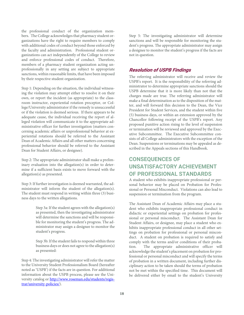the professional conduct of the organization members. The College acknowledges that pharmacy student organizations have the right to require members to comply with additional codes of conduct beyond those enforced by the faculty and administration. Professional student organizations can act independently of the College to review and enforce professional codes of conduct. Therefore, members of a pharmacy student organization acting unprofessionally in any setting are subject to appropriate sanctions, within reasonable limits, that have been imposed by their respective student organization.

Step 1: Depending on the situation, the individual witnessing the violation may attempt either to resolve it on their own, or report the incident (as appropriate) to the classroom instructor, experiential rotation preceptor, or College/University administrator if the remedy is unsuccessful or if the violation is deemed serious. If there appears to be adequate cause, the individual receiving the report of alleged violation will communicate it to the appropriate administrative officer for further investigation (matters concerning academic affairs or unprofessional behavior at experiential rotations should be referred to the Assistant Dean of Academic Affairs and all other matters concerning professional behavior should be referred to the Assistant Dean for Student Affairs, or designee).

Step 2: The appropriate administrator shall make a preliminary evaluation into the allegation(s) in order to determine if a sufficient basis exists to move forward with the allegation(s) as presented.

Step 3: If further investigation is deemed warranted, the administrator will inform the student of the allegation(s). The student must respond in writing within three (3) business days to the written allegations.

> Step 3a: If the student agrees with the allegation(s) as presented, then the investigating administrator will determine the sanctions and will be responsible for monitoring the student's progress. The administrator may assign a designee to monitor the student's progress.

> Step 3b: If the student fails to respond within three business days or does not agree to the allegation(s) as presented:

Step 4: The investigating administrator will refer the matter to the University Student Professionalism Board (hereafter noted as 'USPB') if the facts are in question. For additional information about the USPB process, please see the University catalog or http://www.roseman.edu/students/registrar/university-policies/).

Step 5: The investigating administrator will determine sanctions and will be responsible for monitoring the student's progress. The appropriate administrator may assign a designee to monitor the student's progress if the facts are not in question.

#### **Resolution of USPB Findings**

The referring administrator will receive and review the USPB's report. It is the responsibility of the referring administrator to determine appropriate sanctions should the USPB determine that it is more likely than not that the charges made are true. The referring administrator will make a final determination as to the disposition of the matter, and will forward this decision to the Dean, the Vice President for Student Services, and the student within five (5) business days, or within an extension approved by the Chancellor following receipt of the USPB's report. Any proposed punitive action rising to the level of suspension or termination will be reviewed and approved by the Executive Subcommittee. The Executive Subcommittee consists of all College administrators with the exception of the Dean. Suspensions or terminations may be appealed as described in the Appeals sections of this Handbook.

# **CONSEQUENCES OF UNSATISFACTORY ACHIEVEMENT OF PROFESSIONAL STANDARDS**

A student who exhibits inappropriate professional or personal behavior may be placed on Probation for Professional or Personal Misconduct. Violations can also lead to suspension or termination from the program.

The Assistant Dean of Academic Affairs may place a student who exhibits inappropriate professional conduct in didactic or experiential settings on probation for professional or personal misconduct. The Assistant Dean for Student Affairs, or designee, may place a student who exhibits inappropriate professional conduct in all other settings on probation for professional or personal misconduct. A student on probation is required to satisfy and comply with the terms and/or conditions of their probation. The appropriate administrative officer will acknowledge the student's placement on probation for professional or personal misconduct and will specify the terms of probation in a written document, including further disciplinary action to be taken should the terms of probation not be met within the specified time. This document will be delivered either by email to the student's University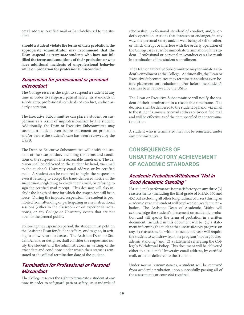email address, certified mail or hand-delivered to the student.

**Should a student violate the terms of their probation, the appropriate administrator may recommend that the Dean suspend or terminate students who have not fulfilled the terms and conditions of their probation or who have additional incidents of unprofessional behavior while on probation for professional misconduct.** 

### **Suspension for professional or personal misconduct**

The College reserves the right to suspend a student at any time in order to safeguard patient safety, its standards of scholarship, professional standards of conduct, and/or orderly operation.

The Executive Subcommittee can place a student on suspension as a result of unprofessionalism by the student. Additionally, the Dean or Executive Subcommittee may suspend a student even before placement on probation and/or before the student's case has been reviewed by the USPB.

The Dean or Executive Subcommittee will notify the student of their suspension, including the terms and conditions of the suspension, in a reasonable timeframe. The decision shall be delivered to the student by hand, via email to the student's University email address or by certified mail. A student can be required to begin the suspension even if refusing to accept the hand-delivered notice of the suspension, neglecting to check their email, or refusing to sign the certified mail receipt. This decision will also include the length of time for which the suspension will be in force. During the imposed suspension, the student is prohibited from attending or participating in any instructional sessions (either in the classroom or on experiential rotations), or any College or University events that are not open to the general public.

Following the suspension period, the student must petition the Assistant Dean for Student Affairs, or designee, in writing to allow return to classes. The Assistant Dean for Student Affairs, or designee, shall consider the request and notify the student and the administrators, in writing, of the exact date and conditions under which their status is reinstated or the official termination date of the student.

### **Termination for Professional or Personal Misconduct**

The College reserves the right to terminate a student at any time in order to safeguard patient safety, its standards of scholarship, professional standard of conduct, and/or orderly operation. Actions that threaten or endanger, in any way, the personal safety and/or well-being of self or other, or which disrupt or interfere with the orderly operation of the College, are cause for immediate termination of the student. Professional or personal misconduct can also result in termination of the student's enrollment.

The Dean or Executive Subcommittee may terminate a student's enrollment at the College. Additionally, the Dean or Executive Subcommittee may terminate a student even before placement on probation and/or before the student's case has been reviewed by the USPB.

The Dean or Executive Subcommittee will notify the student of their termination in a reasonable timeframe. The decision shall be delivered to the student by hand, via email to the student's university email address or by certified mail and will be effective as of the date specified in the termination letter.

A student who is terminated may not be reinstated under any circumstances.

# **CONSEQUENCES OF UNSATISFACTORY ACHIEVEMENT OF ACADEMIC STANDARDS**

### **Academic Probation/Withdrawal "Not in Good Academic Standing"**

If a student's performance is unsatisfactory on any three (3) reassessments (including the final grade of PHAR 450 and 452 but excluding all other longitudinal courses) during an academic year, the student will be placed on academic probation. The Assistant Dean of Academic Affairs will acknowledge the student's placement on academic probation and will specify the terms of probation in a written document. Included in this document will be: (1) a statement informing the student that unsatisfactory progress on any six reassessments within an academic year will require the student to withdraw from the program "not in good academic standing" and (2) a statement reiterating the College's Withdrawal Policy. This document will be delivered either to a student's University email address, by certified mail, or hand-delivered to the student.

Under normal circumstances, a student will be removed from academic probation upon successfully passing all of the assessments or course(s) required.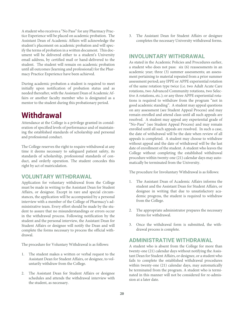A student who receives a "No Pass" for any Pharmacy Practice Experience will be placed on academic probation. The Assistant Dean of Academic Affairs will acknowledge the student's placement on academic probation and will specify the terms of probation in a written document. This document will be delivered either to a student's University email address, by certified mail or hand-delivered to the student. The student will remain on academic probation until all outcomes (learning and professional) for the Pharmacy Practice Experience have been achieved.

During academic probation a student is required to meet initially upon notification of probation status and as needed thereafter,with the Assistant Dean of Academic Affairs or another faculty member who is designated as a mentor to the student during this probationary period.

# **Withdrawal**

Attendance at the College is a privilege granted in consideration of specified levels of performance and of maintaining the established standards of scholarship and personal and professional conduct.

The College reserves the right to require withdrawal at any time it deems necessary to safeguard patient safety, its standards of scholarship, professional standards of conduct, and orderly operation. The student concedes this right by act of matriculation.

#### **VOLUNTARY WITHDRAWAL**

Application for voluntary withdrawal from the College must be made in writing to the Assistant Dean for Student Affairs, or designee. Except in rare and special circumstances, the application will be accompanied by a personal interview with a member of the College of Pharmacy's administrative team. Every effort should be made by the student to assure that no misunderstandings or errors occur in the withdrawal process. Following notification by the student and the personal interview, the Assistant Dean for Student Affairs or designee will notify the Dean and will complete the forms necessary to process the official withdrawal.

The procedure for Voluntary Withdrawal is as follows:

- 1. The student makes a written or verbal request to the Assistant Dean for Student Affairs, or designee, to voluntarily withdraw from the College.
- 2. The Assistant Dean for Student Affairs or designee schedules and attends the withdrawal interview with the student, as necessary.

3. The Assistant Dean for Student Affairs or designee completes the necessary University withdrawal forms.

#### **INVOLUNTARY WITHDRAWAL**

As stated in the Academic Policies and Procedures earlier, a student who does not pass: six (6) reassessments in an academic year; three (3) summer assessments; an assessment pertaining to material repeated from a prior summer assessment period; any IPPE or APPE experiential rotation of the same rotation type twice (i.e. two Adult Acute Care rotations, two Advanced Community rotations, two Selective A rotations, etc.); or any three APPE experiential rotations is required to withdraw from the program "not in good academic standing". A student may appeal questions on any assessment (see Student Appeal Process) and may remain enrolled and attend class until all such appeals are resolved. A student may appeal any experiential grade of "No-Pass" (see Student Appeal Process) and may remain enrolled until all such appeals are resolved. In such a case, the date of withdrawal will be the date when review of all appeals is completed. A student may choose to withdraw without appeal and the date of withdrawal will be the last date of enrollment of the student. A student who leaves the College without completing the established withdrawal procedure within twenty-one (21) calendar days may automatically be terminated from the University.

The procedure for Involuntary Withdrawal is as follows:

- The Assistant Dean of Academic Affairs informs the student and the Assistant Dean for Student Affairs, or designee in writing that due to unsatisfactory academic progress, the student is required to withdraw from the College.
- 2. The appropriate administrator prepares the necessary forms for withdrawal.
- 3. Once the withdrawal form is submitted, the withdrawal process is complete.

#### **ADMINISTRATIVE WITHDRAWAL**

A student who is absent from the College for more than twenty-one (21) calendar days without notifying the Assistant Dean for Student Affairs, or designee, or a student who fails to complete the established withdrawal procedures within twenty-one (21) calendar days, may automatically be terminated from the program. A student who is terminated in this manner will not be considered for re-admission at a later date.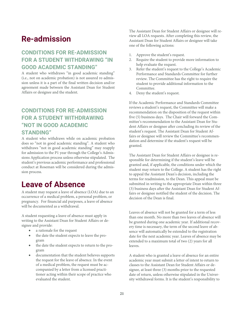# **Re-admission**

# **CONDITIONS FOR RE-ADMISSION FOR A STUDENT WITHDRAWING "IN GOOD ACADEMIC STANDING"**

A student who withdraws "in good academic standing" (i.e., not on academic probation) is not assured re-admission unless it is a part of the final written decision and/or agreement made between the Assistant Dean for Student Affairs or designee and the student.

# **CONDITIONS FOR RE-ADMISSION FOR A STUDENT WITHDRAWING "NOT IN GOOD ACADEMIC STANDING"**

A student who withdraws while on academic probation does so "not in good academic standing". A student who withdraws "not in good academic standing" may reapply for admission to the P1 year through the College's Admissions Application process unless otherwise stipulated. The student's previous academic performance and professional conduct at Roseman will be considered during the admission process.

# **Leave of Absence**

A student may request a leave of absence (LOA) due to an occurrence of a medical problem, a personal problem, or pregnancy. For financial aid purposes, a leave of absence will be documented as a withdrawal.

A student requesting a leave of absence must apply in writing to the Assistant Dean for Student Affairs or designee and provide:

- a rationale for the request
- the date the student expects to leave the program
- the date the student expects to return to the program
- documentation that the student believes supports the request for the leave of absence. In the event of a medical problem, the request must be accompanied by a letter from a licensed practitioner acting within their scope of practice who evaluated the student.

The Assistant Dean for Student Affairs or designee will review all LOA requests. After completing this review, the Assistant Dean for Student Affairs or designee will take one of the following actions:

- 1. Approve the student's request.
- 2. Require the student to provide more information to help evaluate the request.
- 3. Refer the student's request to the College's Academic Performance and Standards Committee for further review. The Committee has the right to require the student to provide additional information to the Committee.
- 4. Deny the student's request.

If the Academic Performance and Standards Committee reviews a student's request, the Committee will make a recommendation on the disposition of the request within five (5) business days. The Chair will forward the Committee's recommendation to the Assistant Dean for Student Affairs or designee after concluding its review of the student's request. The Assistant Dean for Student Affairs or designee will review the Committee's recommendation and determine if the student's request will be granted.

The Assistant Dean for Student Affairs or designee is responsible for determining if the student's leave will be granted and, if applicable, the conditions under which the student may return to the College. A student has the right to appeal the Assistant Dean's decision, including the terms for readmission, to the Dean. This appeal must be submitted in writing to the appropriate Dean within three (3) business days after the Assistant Dean for Student Affairs or designee notified the student of the decision. The decision of the Dean is final.

Leaves of absence will not be granted for a term of less than one month. No more than two leaves of absence will be granted during one academic year. If additional recovery time is necessary, the term of the second leave of absence will automatically be extended to the registration date for the next academic year. Leaves of absence may be extended to a maximum total of two (2) years for all leaves.

A student who is granted a leave of absence for an entire academic year must submit a letter of intent to return to classes to the Assistant Dean for Student Affairs or designee, at least three (3) months prior to the requested date of return, unless otherwise stipulated in the University withdrawal forms. It is the student's responsibility to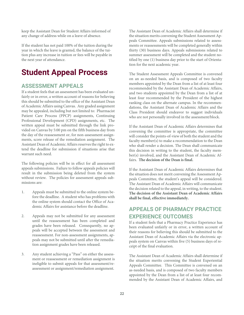keep the Assistant Dean for Student Affairs informed of any change of address while on a leave of absence.

If the student has not paid 100% of the tuition during the year in which the leave is granted, the balance of the tuition plus any increase in tuition or fees will be payable in the next year of attendance.

# **Student Appeal Process**

### **ASSESSMENT APPEALS**

If a student feels that an assessment has been evaluated unfairly or in error, a written account of reasons for believing this should be submitted to the office of the Assistant Dean of Academic Affairs using Canvas. Any graded assignment may be appealed, including but not limited to: Pharmacist Patient Care Process (PPCP) assignments, Continuing Professional Development (CPD) assignments, etc. The written appeal must be submitted through the link provided on Canvas by 5:00 pm on the fifth business day from the day of the reassessment or, for non-assessment assignments, score release of the remediation assignment. The Assistant Dean of Academic Affairs reserves the right to extend the deadline for submission if situations arise that warrant such need.

The following policies will be in effect for all assessment appeals submissions. Failure to follow appeals policies will result in the submission being deleted from the system without review. The policies for assessment appeals submissions are:

- 1. Appeals must be submitted to the online system before the deadline. A student who has problems with the online system should contact the Office of Academic Affairs for assistance before the deadline.
- 2. Appeals may not be submitted for any assessment until the reassessment has been completed and grades have been released. Consequently, no appeals will be accepted between the assessment and reassessment. For non-assessment assignments, appeals may not be submitted until after the remediation assignment grades have been released.
- 3. Any student achieving a "Pass" on either the assessment or reassessment or remediation assignment is ineligible to submit appeals for that assessment/reassessment or assignment/remediation assignment.

The Assistant Dean of Academic Affairs shall determine if the situation merits convening the Student Assessment Appeals Committee. Appeals submissions related to assessments or reassessments will be completed generally within thirty (30) business days. Appeals submissions related to summer assessment will be completed and the student notified by one (1) business day prior to the start of Orientation for the next academic year.

The Student Assessment Appeals Committee is convened on an as-needed basis, and is composed of two faculty members appointed by the Dean from a list of at least four recommended by the Assistant Dean of Academic Affairs, and two students appointed by the Dean from a list of at least four recommended by the President of the highest ranking class on the alternate campus. In the recommendations, the Assistant Dean of Academic Affairs and the Class President should endeavor to suggest individuals who are not personally involved in the assessment/block.

If the Assistant Dean of Academic Affairs determines that convening the committee is appropriate, the committee will consider the points-of-view of both the student and the faculty member(s) to make a recommendation to the Dean who shall render a decision. The Dean shall communicate this decision in writing to the student, the faculty member(s) involved, and the Assistant Dean of Academic Affairs. **The decision of the Dean is final.**

If the Assistant Dean of Academic Affairs determines that the situation does not merit convening the Assessment Appeals Committee, the student's appeal will be considered. The Assistant Dean of Academic Affairs will communicate the decision related to the appeal, in writing, to the student. **The decision of the Assistant Dean of Academic Affairs shall be final, effective immediately.**

# **APPEALS OF PHARMACY PRACTICE EXPERIENCE OUTCOMES**

If a student feels that a Pharmacy Practice Experience has been evaluated unfairly or in error, a written account of their reasons for believing this should be submitted to the Assistant Dean of Academic Affairs via the electronic appeals system on Canvas within five (5) business days of receipt of the final evaluation.

The Assistant Dean of Academic Affairs shall determine if the situation merits convening the Student Experiential Appeals Committee. This Committee is convened on an as-needed basis, and is composed of two faculty members appointed by the Dean from a list of at least four recommended by the Assistant Dean of Academic Affairs, and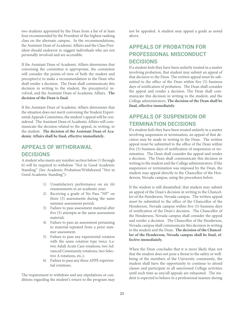two students appointed by the Dean from a list of at least four recommended by the President of the highest ranking class on the alternate campus. In the recommendations, the Assistant Dean of Academic Affairs and the Class President should endeavor to suggest individuals who are not personally involved and are accessible.

If the Assistant Dean of Academic Affairs determines that convening the committee is appropriate, the committee will consider the points-of-view of both the student and preceptor(s) to make a recommendation to the Dean who shall render a decision. The Dean shall communicate this decision in writing to the student, the preceptor(s) involved, and the Assistant Dean of Academic Affairs. **The decision of the Dean is final.**

If the Assistant Dean of Academic Affairs determines that the situation does not merit convening the Student Experiential Appeals Committee, the student's appeal will be considered. The Assistant Dean of Academic Affairs will communicate the decision related to the appeal, in writing, to the student. **The decision of the Assistant Dean of Academic Affairs shall be final, effective immediately.**

# **APPEALS OF WITHDRAWAL DECISIONS**

A student who meets any number section below (1 through 6) will be required to withdraw "Not in Good Academic Standing" (See Academic Probation/Withdrawal "Not in Good Academic Standing"):

- 1) Unsatisfactory performance on six (6) reassessments in an academic year;
- 2) Receiving a grade of No Pass "NP" on three (3) assessments during the same summer assessment period;
- 3) Failure to pass assessment material after five (5) attempts at the same assessment material;
- 4) Failure to pass an assessment pertaining to material repeated from a prior summer assessment.
- 5) Failure to pass any experiential rotation with the same rotation type twice (i.e. two Adult Acute Care rotations, two Advanced Community rotations, two Selective A rotations, etc.);
- 6) Failure to pass any three APPE experiential rotations.

The requirement to withdraw and any stipulations or conditions regarding the student's return to the program may not be appealed. A student may appeal a grade as noted above.

# **APPEALS OF PROBATION FOR PROFESSIONAL MISCONDUCT DECISIONS**

If a student feels they have been unfairly treated in a matter involving probation, that student may submit an appeal of that decision to the Dean. The written appeal must be submitted to the office of the Dean within five (5) business days of notification of probation. The Dean shall consider the appeal and render a decision. The Dean shall communicate this decision in writing to the student, and the College administrators. **The decision of the Dean shall be final, effective immediately.**

# **APPEALS OF SUSPENSION OR TERMINATION DECISIONS**

If a student feels they have been treated unfairly in a matter involving suspension or termination, an appeal of that decision may be made in writing to the Dean. The written appeal must be submitted to the office of the Dean within five (5) business days of notification of suspension or termination. The Dean shall consider the appeal and render a decision. The Dean shall communicate this decision in writing to the student and the College administrators. If the suspension or termination was imposed by the Dean, the student may appeal directly to the Chancellor of the Henderson, Nevada campus, using the procedures below.

If the student is still dissatisfied, that student may submit an appeal of the Dean's decision in writing to the Chancellor of the Henderson, Nevada campus. The written appeal must be submitted to the office of the Chancellor of the Henderson, Nevada campus within five (5) business days of notification of the Dean's decision. The Chancellor of the Henderson, Nevada campus shall consider the appeal and render a decision. The Chancellor of the Henderson, Nevada campus shall communicate this decision in writing to the student and the Dean. **The decision of the Chancellor of the Henderson, Nevada campus shall be final, effective immediately.**

When the Dean concludes that it is more likely than not that the student does not pose a threat to the safety or wellbeing of the members of the University community, the student shall have the opportunity to continue to attend classes and participate in all sanctioned College activities until such time as any/all appeals are exhausted. The student is expected to behave in a professional manner during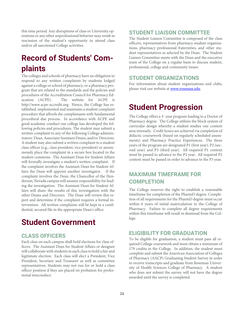this time period. Any disruptions of class or University operations or any other unprofessional behavior may result in rescission of the student's opportunity to attend class and/or all sanctioned College activities.

# **Record of Students' Complaints**

The colleges and schools of pharmacy have an obligation to respond to any written complaints by students lodged against a college or school of pharmacy, or a pharmacy program that are related to the standards and the policies and procedures of the Accreditation Council for Pharmacy Education (ACPE). The website for ACPE is http://www.acpe-accredit.org. Hence, the College has established, implemented and maintains a student complaint procedure that affords the complainants with fundamental procedural due process. In accordance with ACPE and good academic conduct our college has developed the following policies and procedures. The student may submit a written complaint to any of the following College administrators: Dean, Associate/Assistant Deans, and/or Directors. A student may also submit a written complaint to a student class officer (e.g., class president, vice president) or anonymously place the complaint in a secure box located in the student commons. The Assistant Dean for Student Affairs will formally investigate a student's written complaint. If the complaint involves the Assistant Dean for Student Affairs the Dean will appoint another investigator. If the complaint involves the Dean, the Chancellor of the Henderson, Nevada campus will assume responsibility for leading the investigation. The Assistant Dean for Student Affairs will share the results of this investigation with the other Deans and Directors. The Dean will review this report and determine if the complaint requires a formal intervention. All written complaints will be kept in a confidential, secured file in the appropriate Dean's office.

# **Student Government**

# **CLASS OFFICERS**

Each class on each campus shall hold elections for class officers. The Assistant Dean for Student Affairs or designee will collaborate with students in each class to hold a fair and legitimate election. Each class will elect a President, Vice President, Secretary and Treasurer as well as committee representatives. Students may not run for or hold a class officer position if they are placed on probation for professional misconduct.

### **STUDENT LIAISON COMMITTEE**

The Student Liaison Committee is composed of the class officers, representatives from pharmacy student organizations, pharmacy professional fraternities, and other student representatives as selected by the Dean. The Student Liaison Committee meets with the Dean and the executive team of the College on a regular basis to discuss student, professional, college and community issues.

#### **STUDENT ORGANIZATIONS**

For information about student organizations and clubs, please visit our website at **www.roseman.edu**.

# **Student Progression**

The College offers a 3- year program leading to a Doctor of Pharmacy degree. The College utilizes the block system of curricular design whereby a student studies one content area intensely. Credit hours are achieved via completion of didactic coursework (based on regularly scheduled assessments) and Pharmacy Practice Experiences. The three years of the program are designated P1 (first year), P2 (second year) and P3 (third year). All required P1 content must be passed to advance to the P2 year. All required P2 content must be passed in order to advance to the P3 year.

# **MAXIMUM TIMEFRAME FOR COMPLETION**

The College reserves the right to establish a reasonable timeframe for completion of the PharmD degree. Completion of all requirements for the PharmD degree must occur within 6 years of initial matriculation to the College of Pharmacy. Failure to complete all degree requirements within this timeframe will result in dismissal from the College.

### **ELIGIBILITY FOR GRADUATION**

To be eligible for graduation, a student must pass all required College coursework and must obtain a minimum of 179 credits in the College. In addition, the student must complete and submit the American Association of Colleges of Pharmacy (AACP) Graduating Student Survey in order to receive transcripts and graduate from Roseman University of Health Sciences College of Pharmacy. A student who does not submit the survey will not have the degree awarded until the survey is completed.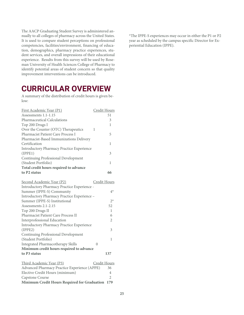The AACP Graduating Student Survey is administered annually to all colleges of pharmacy across the United States. It is used to compare student perceptions on professional competencies, facilities/environment, financing of education, demographics, pharmacy practice experiences, student services, and overall impressions of their educational experience. Results from this survey will be used by Roseman University of Health Sciences College of Pharmacy to identify potential areas of student concern so that quality improvement interventions can be introduced.

# **CURRICULAR OVERVIEW**

A summary of the distribution of credit hours is given below:

| First Academic Year (P1)                         | Credit Hours |
|--------------------------------------------------|--------------|
| Assessments 1.1-1.15                             | 51           |
| <b>Pharmaceutical Calculations</b>               | 3            |
| Top 200 Drugs I                                  | 1            |
| Over the Counter (OTC) Therapeutics              | 1            |
| <b>Pharmacist Patient Care Process I</b>         | 5            |
| Pharmacist-Based Immunizations Delivery          |              |
| Certification                                    | 1            |
| <b>Introductory Pharmacy Practice Experience</b> |              |
| (IPPE1)                                          | 3            |
| Continuing Professional Development              |              |
| (Student Portfolio)                              | 1            |
| Total credit hours required to advance           |              |
| to P <sub>2</sub> status                         | 66           |
| Second Academic Year (P2)                        | Credit Hours |
| Introductory Pharmacy Practice Experience -      |              |
| Summer (IPPE-S) Community                        | $4^*$        |

| Summer (IPPE-S) Community                        | 41    |
|--------------------------------------------------|-------|
| Introductory Pharmacy Practice Experience -      |       |
| Summer (IPPE-S) Institutional                    | $2^*$ |
| Assessments 2.1-2.15                             | 52    |
| Top 200 Drugs II                                 |       |
| <b>Pharmacist Patient Care Process II</b>        | 6     |
| Interprofessional Education                      | 2     |
| <b>Introductory Pharmacy Practice Experience</b> |       |
| (IPPE2)                                          | 3     |
| Continuing Professional Development              |       |
| (Student Portfolio)                              |       |
| Integrated Pharmacotherapy Skills                |       |
| Minimum credit hours required to advance         |       |
| to P3 status                                     | 137   |
|                                                  |       |

| Third Academic Year (P3)<br>Credit Hours         |     |
|--------------------------------------------------|-----|
| Advanced Pharmacy Practice Experience (APPE)     | 36. |
| Elective Credit Hours (minimum)                  | 4   |
| Capstone Course                                  |     |
| Minimum Credit Hours Required for Graduation 179 |     |

\*The IPPE-S experiences may occur in either the P1 or P2 year as scheduled by the campus specific Director for Experiential Education (IPPE).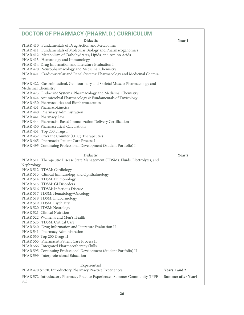| DOCTOR OF PHARMACY (PHARM.D.) CURRICULUM                                                                                                                                                                                                                                                                                                                                                                                                                                                                                                                                                                                                                                                                                                                                                                                                                                                                                                                                                                                                                                                                                                                                       |                           |
|--------------------------------------------------------------------------------------------------------------------------------------------------------------------------------------------------------------------------------------------------------------------------------------------------------------------------------------------------------------------------------------------------------------------------------------------------------------------------------------------------------------------------------------------------------------------------------------------------------------------------------------------------------------------------------------------------------------------------------------------------------------------------------------------------------------------------------------------------------------------------------------------------------------------------------------------------------------------------------------------------------------------------------------------------------------------------------------------------------------------------------------------------------------------------------|---------------------------|
| <b>Didactic</b><br>PHAR 410: Fundamentals of Drug Action and Metabolism<br>PHAR 411: Fundamentals of Molecular Biology and Pharmacogenomics<br>PHAR 412: Metabolism of Carbohydrates, Lipids, and Amino Acids<br>PHAR 413: Hematology and Immunology<br>PHAR 414: Drug Information and Literature Evaluation I<br>PHAR 420: Neuropharmacology and Medicinal Chemistry<br>PHAR 421: Cardiovascular and Renal Systems: Pharmacology and Medicinal Chemis-<br>try<br>PHAR 422: Gastrointestinal, Genitourinary and Skeletal Muscle: Pharmacology and<br>Medicinal Chemistry<br>PHAR 423: Endocrine Systems: Pharmacology and Medicinal Chemistry<br>PHAR 424: Antimicrobial Pharmacology & Fundamentals of Toxicology<br>PHAR 430: Pharmaceutics and Biopharmaceutics<br>PHAR 431: Pharmacokinetics<br>PHAR 440: Pharmacy Administration<br>PHAR 441: Pharmacy Law<br>PHAR 444: Pharmacist-Based Immunization Delivery Certification<br>PHAR 450: Pharmaceutical Calculations<br>PHAR 451: Top 200 Drugs I<br>PHAR 452: Over the Counter (OTC) Therapeutics<br>PHAR 465: Pharmacist Patient Care Process I<br>PHAR 495: Continuing Professional Development (Student Portfolio) I | Year 1                    |
| <b>Didactic</b>                                                                                                                                                                                                                                                                                                                                                                                                                                                                                                                                                                                                                                                                                                                                                                                                                                                                                                                                                                                                                                                                                                                                                                | Year <sub>2</sub>         |
| PHAR 511: Therapeutic Disease State Management (TDSM): Fluids, Electrolytes, and<br>Nephrology<br>PHAR 512: TDSM: Cardiology<br>PHAR 513: Clinical Immunology and Ophthalmology<br>PHAR 514: TDSM: Pulmonology<br>PHAR 515: TDSM: GI Disorders<br>PHAR 516: TDSM: Infectious Disease<br>PHAR 517: TDSM: Hematology/Oncology<br>PHAR 518: TDSM: Endocrinology<br>PHAR 519: TDSM: Psychiatry<br>PHAR 520: TDSM: Neurology<br>PHAR 521: Clinical Nutrition<br>PHAR 522: Women's and Men's Health<br>PHAR 525: TDSM: Critical Care<br>PHAR 540: Drug Information and Literature Evaluation II<br>PHAR 541: Pharmacy Administration<br>PHAR 550: Top 200 Drugs II<br>PHAR 565: Pharmacist Patient Care Process II<br>PHAR 566: Integrated Pharmacotherapy Skills<br>PHAR 595: Continuing Professional Development (Student Portfolio) II<br>PHAR 599: Interprofessional Education                                                                                                                                                                                                                                                                                                   |                           |
| Experiential<br>PHAR 470 & 570: Introductory Pharmacy Practice Experiences                                                                                                                                                                                                                                                                                                                                                                                                                                                                                                                                                                                                                                                                                                                                                                                                                                                                                                                                                                                                                                                                                                     | Years 1 and 2             |
| PHAR 572: Introductory Pharmacy Practice Experience -Summer Community (IPPE-<br>SC)                                                                                                                                                                                                                                                                                                                                                                                                                                                                                                                                                                                                                                                                                                                                                                                                                                                                                                                                                                                                                                                                                            | <b>Summer after Year1</b> |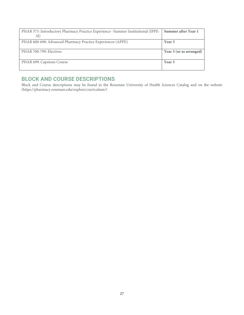| PHAR 573: Introductory Pharmacy Practice Experience--Summer Institutional (IPPE-   Summer after Year 1 |                         |
|--------------------------------------------------------------------------------------------------------|-------------------------|
|                                                                                                        |                         |
| PHAR 600-698: Advanced Pharmacy Practice Experiences (APPE)                                            | Year 3                  |
| PHAR 700-799: Electives                                                                                | Year 3 (or as arranged) |
|                                                                                                        |                         |
| PHAR 699: Capstone Course                                                                              | Year 3                  |
|                                                                                                        |                         |

# **BLOCK AND COURSE DESCRIPTIONS**

Block and Course descriptions may be found in the Roseman University of Health Sciences Catalog and on the website (https://pharmacy.roseman.edu/explore/curriculum/)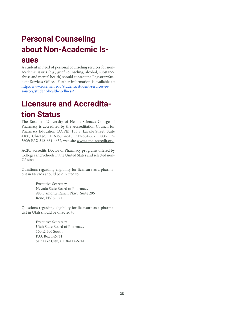# **Personal Counseling about Non-Academic Is-**

# **sues**

A student in need of personal counseling services for nonacademic issues (e.g., grief counseling, alcohol, substance abuse and mental health) should contact the Registrar/Student Services Office. Further information is available at: http://www.roseman.edu/students/student-services-resources/student-health-wellness/

# **Licensure and Accreditation Status**

The Roseman University of Health Sciences College of Pharmacy is accredited by the Accreditation Council for Pharmacy Education (ACPE), 135 S. LaSalle Street, Suite 4100, Chicago, IL 60603-4810, 312-664-3575, 800-533- 3606; FAX 312-664-4652, web site www.acpe-accredit.org.

ACPE accredits Doctor of Pharmacy programs offered by Colleges and Schools in the United States and selected non-US sites.

Questions regarding eligibility for licensure as a pharmacist in Nevada should be directed to:

> Executive Secretary Nevada State Board of Pharmacy 985 Damonte Ranch Pkwy, Suite 206 Reno, NV 89521

Questions regarding eligibility for licensure as a pharmacist in Utah should be directed to:

> Executive Secretary Utah State Board of Pharmacy 160 E. 300 South P.O. Box 146741 Salt Lake City, UT 84114-6741